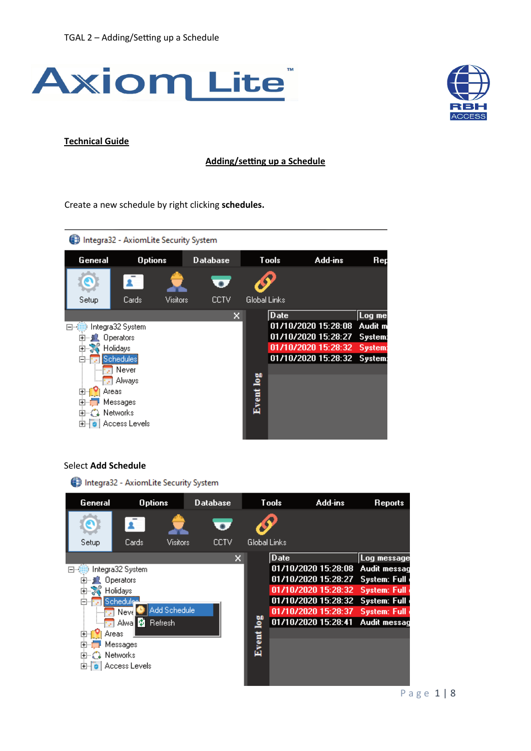



#### **Technical Guide**

#### Adding/setting up a Schedule

Create a new schedule by right clicking **schedules.**



## Select **Add Schedule**

Integra32 - AxiomLite Security System

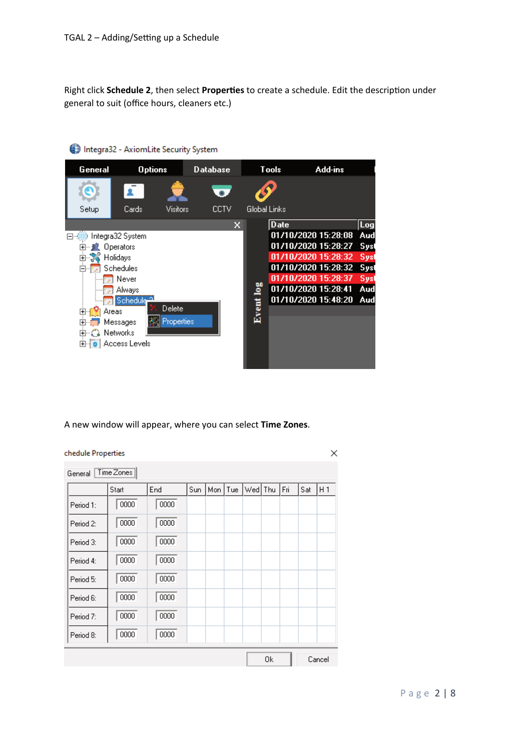Right click **Schedule 2**, then select **Proper�es** to create a schedule. Edit the descrip�on under general to suit (office hours, cleaners etc.)



Integra32 - AxiomLite Security System

A new window will appear, where you can select **Time Zones**.

| chedule Properties |       |      |     |     |     |     |     |     |     | ×              |
|--------------------|-------|------|-----|-----|-----|-----|-----|-----|-----|----------------|
| General Time Zones |       |      |     |     |     |     |     |     |     |                |
|                    | Start | End  | Sun | Mon | Tue | Wed | Thu | Fri | Sat | H <sub>1</sub> |
| Period 1:          | 0000  | 0000 |     |     |     |     |     |     |     |                |
| Period 2:          | 0000  | 0000 |     |     |     |     |     |     |     |                |
| Period 3:          | 0000  | 0000 |     |     |     |     |     |     |     |                |
| Period 4:          | 0000  | 0000 |     |     |     |     |     |     |     |                |
| Period 5:          | 0000  | 0000 |     |     |     |     |     |     |     |                |
| Period 6:          | 0000  | 0000 |     |     |     |     |     |     |     |                |
| Period 7:          | 0000  | 0000 |     |     |     |     |     |     |     |                |
| Period 8:          | 0000  | 0000 |     |     |     |     |     |     |     |                |
|                    |       |      |     |     |     |     | 0k  |     |     | Cancel         |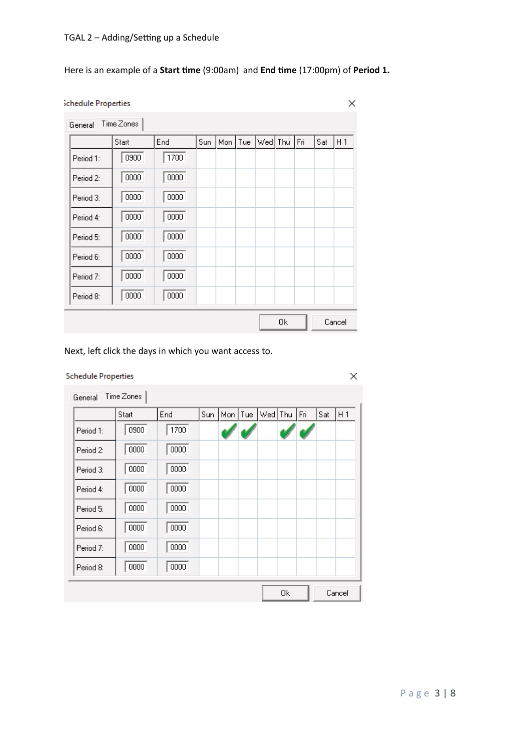# Here is an example of a **Start time** (9:00am) and **End time** (17:00pm) of **Period 1.**

#### Schedule Properties

| General   | Time Zones |      |     |     |     |         |    |     |     |                |
|-----------|------------|------|-----|-----|-----|---------|----|-----|-----|----------------|
|           | Start      | End  | Sun | Mon | Tue | Wed Thu |    | Fri | Sat | H <sub>1</sub> |
| Period 1: | 0900       | 1700 |     |     |     |         |    |     |     |                |
| Period 2: | 0000       | 0000 |     |     |     |         |    |     |     |                |
| Period 3: | 0000       | 0000 |     |     |     |         |    |     |     |                |
| Period 4: | 0000       | 0000 |     |     |     |         |    |     |     |                |
| Period 5: | 0000       | 0000 |     |     |     |         |    |     |     |                |
| Period 6: | 0000       | 0000 |     |     |     |         |    |     |     |                |
| Period 7: | 0000       | 0000 |     |     |     |         |    |     |     |                |
| Period 8: | 0000       | 0000 |     |     |     |         |    |     |     |                |
|           |            |      |     |     |     |         | Οk |     |     | Cancel         |

Next, left click the days in which you want access to.

|           | Start | End  | Sun | Mon   Tue | Wed Thu | Fri | Sat | H 1 |
|-----------|-------|------|-----|-----------|---------|-----|-----|-----|
| Period 1: | 0900  | 1700 |     |           |         |     |     |     |
| Period 2: | 0000  | 0000 |     |           |         |     |     |     |
| Period 3: | 0000  | 0000 |     |           |         |     |     |     |
| Period 4: | 0000  | 0000 |     |           |         |     |     |     |
| Period 5: | 0000  | 0000 |     |           |         |     |     |     |
| Period 6: | 0000  | 0000 |     |           |         |     |     |     |
| Period 7: | 0000  | 0000 |     |           |         |     |     |     |
| Period 8: | 0000  | 0000 |     |           |         |     |     |     |

X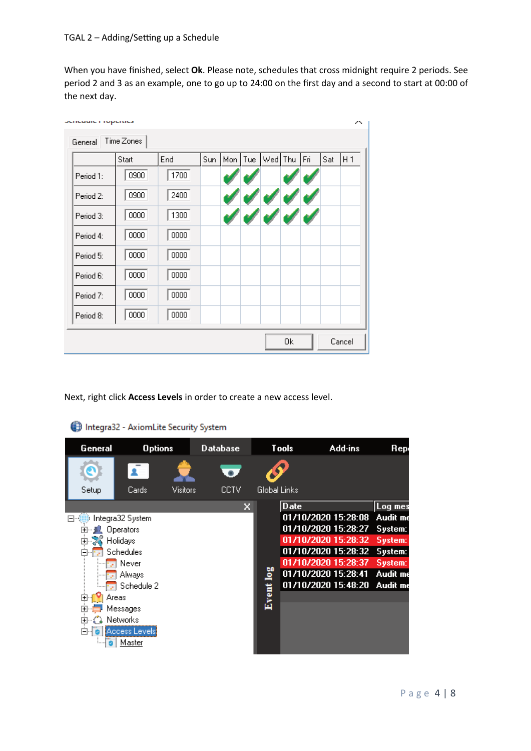When you have finished, select **Ok**. Please note, schedules that cross midnight require 2 periods. See period 2 and 3 as an example, one to go up to 24:00 on the first day and a second to start at 00:00 of the next day.

|           | Start | End  | Sun | Mon Tue | Wed Thu | Fri | Sat | H <sub>1</sub> |
|-----------|-------|------|-----|---------|---------|-----|-----|----------------|
| Period 1: | 0900  | 1700 |     |         |         |     |     |                |
| Period 2: | 0900  | 2400 |     |         |         |     |     |                |
| Period 3: | 0000  | 1300 |     |         |         |     |     |                |
| Period 4: | 0000  | 0000 |     |         |         |     |     |                |
| Period 5: | 0000  | 0000 |     |         |         |     |     |                |
| Period 6: | 0000  | 0000 |     |         |         |     |     |                |
| Period 7: | 0000  | 0000 |     |         |         |     |     |                |
| Period 8: | 0000  | 0000 |     |         |         |     |     |                |

Next, right click **Access Levels** in order to create a new access level.

| General                 | <b>Options</b>   |          | Database |                     | Tools       | Add-ins             | Rep      |
|-------------------------|------------------|----------|----------|---------------------|-------------|---------------------|----------|
|                         |                  |          |          |                     |             |                     |          |
| Setup                   | Cards:           | Visitors | CCTV     | <b>Global Links</b> |             |                     |          |
|                         |                  |          | ×        |                     | <b>Date</b> |                     | Log mes  |
| ⊶ا⊨ا                    | Integra32 System |          |          |                     |             | 01/10/2020 15:28:08 | Audit me |
| $^{+}$                  | <b>Operators</b> |          |          |                     |             | 01/10/2020 15:28:27 | System:  |
| Holidays<br>中           |                  |          |          |                     |             | 01/10/2020 15:28:32 | System:  |
| ⊟…                      | Schedules        |          |          |                     |             | 01/10/2020 15:28:32 | System:  |
|                         | Never            |          |          |                     |             | 01/10/2020 15:28:37 | System:  |
|                         | Always           |          |          |                     |             | 01/10/2020 15:28:41 | Audit me |
|                         | Schedule 2       |          |          |                     |             | 01/10/2020 15:48:20 | Audit me |
| Areas<br>$\overline{+}$ |                  |          |          | Event log           |             |                     |          |
|                         | Messages         |          |          |                     |             |                     |          |
| 曱                       | <b>Networks</b>  |          |          |                     |             |                     |          |
| F)                      | Access Levels    |          |          |                     |             |                     |          |
|                         | Master           |          |          |                     |             |                     |          |

### Integra32 - AxiomLite Security System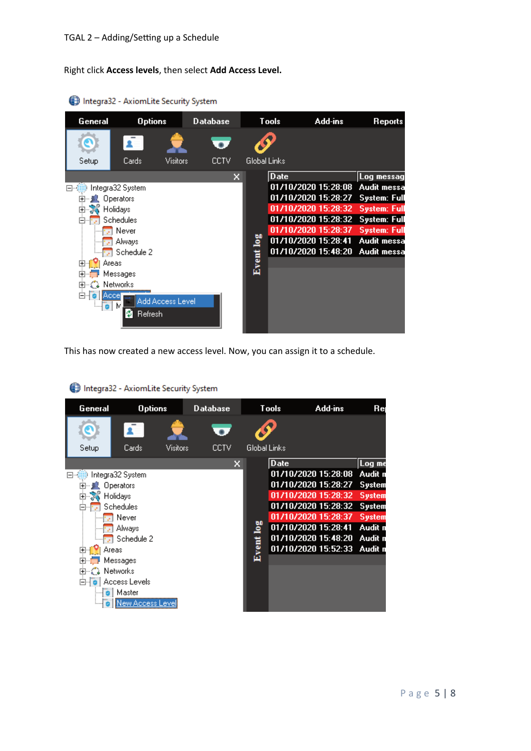Right click **Access levels**, then select **Add Access Level.**

| General                                                                                                          | <b>Options</b>                                                                                                               |                  | <b>Database</b> |      |                     | <b>Tools</b> | Add-ins                                                                                                                                                       | Reports                                                                                                                                             |
|------------------------------------------------------------------------------------------------------------------|------------------------------------------------------------------------------------------------------------------------------|------------------|-----------------|------|---------------------|--------------|---------------------------------------------------------------------------------------------------------------------------------------------------------------|-----------------------------------------------------------------------------------------------------------------------------------------------------|
|                                                                                                                  |                                                                                                                              |                  |                 |      |                     |              |                                                                                                                                                               |                                                                                                                                                     |
| Setup                                                                                                            | Cards                                                                                                                        | Visitors         |                 | CCTV | <b>Global Links</b> |              |                                                                                                                                                               |                                                                                                                                                     |
| ⊟~1<br>国…」 <mark>(</mark> (Operators)<br>由 26 Holidays<br>$\overline{+}$<br>$\overline{+}$<br>曱<br>6<br>l⊶io i M | Integra32 System<br>Schedules<br>Never<br>Always<br>Schedule 2<br>Areas<br>Messages<br><b>2</b> Networks<br>Accel<br>Refresh | Add Access Level |                 | x    | Event log           | <b>Date</b>  | 01/10/2020 15:28:08<br>01/10/2020 15:28:27<br>01/10/2020 15:28:32<br>01/10/2020 15:28:32<br>01/10/2020 15:28:37<br>01/10/2020 15:28:41<br>01/10/2020 15:48:20 | Log messag<br>Audit messa<br><b>System: Full</b><br><b>System: Full</b><br><b>System: Full</b><br><b>System: Full</b><br>Audit messa<br>Audit messa |

Integra32 - AxiomLite Security System

This has now created a new access level. Now, you can assign it to a schedule.

| General             | <b>Options</b>    |          | <b>Database</b> |              | <b>Tools</b> | Add-ins             | Re      |
|---------------------|-------------------|----------|-----------------|--------------|--------------|---------------------|---------|
|                     |                   |          |                 |              |              |                     |         |
| Setup               | Cards             | Visitors | CCTV            | Global Links |              |                     |         |
|                     |                   |          | x               |              | <b>Date</b>  |                     | Log me  |
|                     | Integra32 System  |          |                 |              |              | 01/10/2020 15:28:08 | Audit n |
| 田… 川                | Operators         |          |                 |              |              | 01/10/2020 15:28:27 | System  |
| ∾∑√े Holidays<br>Ė  |                   |          |                 |              |              | 01/10/2020 15:28:32 | System  |
|                     | Schedules         |          |                 |              |              | 01/10/2020 15:28:32 | System  |
|                     | Never             |          |                 |              |              | 01/10/2020 15:28:37 | System  |
|                     | Always            |          |                 | $\log$       |              | 01/10/2020 15:28:41 | Audit n |
|                     | Schedule 2        |          |                 |              |              | 01/10/2020 15:48:20 | Audit n |
| Areas<br>ஈ          |                   |          |                 | Event 1      |              | 01/10/2020 15:52:33 | Audit n |
|                     | Messages          |          |                 |              |              |                     |         |
| 由 <b>ご</b> Networks |                   |          |                 |              |              |                     |         |
|                     | ⊟ ∂ Access Levels |          |                 |              |              |                     |         |
|                     | Master            |          |                 |              |              |                     |         |
|                     | lew Access Leve   |          |                 |              |              |                     |         |

# Integra32 - AxiomLite Security System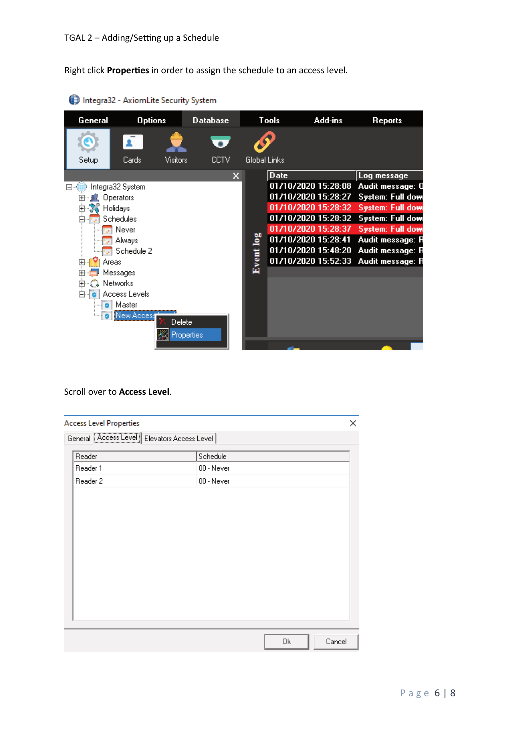Right click **Proper�es** in order to assign the schedule to an access level.

| General                                                                  | <b>Options</b>                                                                                                                                  |            | <b>Database</b> |              | Tools | Add-ins                                                                                                                                | <b>Reports</b>                                                                                                                                                                                                                     |
|--------------------------------------------------------------------------|-------------------------------------------------------------------------------------------------------------------------------------------------|------------|-----------------|--------------|-------|----------------------------------------------------------------------------------------------------------------------------------------|------------------------------------------------------------------------------------------------------------------------------------------------------------------------------------------------------------------------------------|
|                                                                          |                                                                                                                                                 |            |                 |              |       |                                                                                                                                        |                                                                                                                                                                                                                                    |
| Setup                                                                    | Cards                                                                                                                                           | Visitors   | <b>CCTV</b>     | Global Links |       |                                                                                                                                        |                                                                                                                                                                                                                                    |
| 日切<br>$\overline{\mathbf{H}}$<br>由 S Holidays<br>Areas<br>由 : 2 Networks | Integra32 System<br>Operators<br>Schedules<br>Never<br>Always<br>Schedule 2<br>Messages<br>白 <b>o</b> Access Levels<br>o   Master<br>New Access | Delete     | x               | Event log    | Date  | 01/10/2020 15:28:08<br>01/10/2020 15:28:27<br>01/10/2020 15:28:32<br>01/10/2020 15:28:37<br>01/10/2020 15:28:41<br>01/10/2020 15:48:20 | Log message<br>Audit message: 0<br>System: Full dow<br><b>System: Full down</b><br>01/10/2020 15:28:32 System: Full dow<br><b>System: Full dow</b><br>Audit message: R<br>Audit message: R<br>01/10/2020 15:52:33 Audit message: R |
|                                                                          |                                                                                                                                                 | Properties |                 |              |       |                                                                                                                                        |                                                                                                                                                                                                                                    |

Integra32 - AxiomLite Security System

### Scroll over to **Access Level**.

| <b>Access Level Properties</b>                |            | × |
|-----------------------------------------------|------------|---|
| General Access Level   Elevators Access Level |            |   |
| Reader                                        | Schedule   |   |
| Reader 1                                      | 00 - Never |   |
| Reader 2                                      | 00 - Never |   |
|                                               |            |   |
|                                               |            |   |
|                                               |            |   |
|                                               |            |   |
|                                               |            |   |
|                                               |            |   |
|                                               |            |   |
|                                               |            |   |
|                                               |            |   |
|                                               |            |   |
|                                               |            |   |
|                                               |            |   |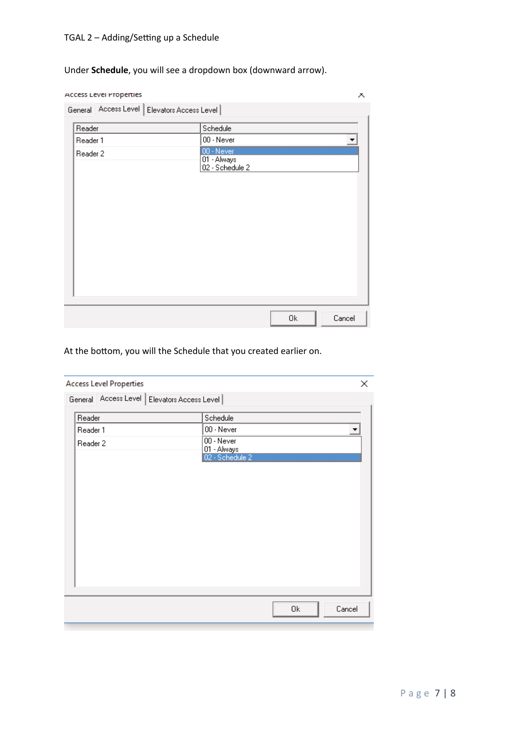# TGAL 2 - Adding/Setting up a Schedule

Under **Schedule**, you will see a dropdown box (downward arrow).

| Access Level Properties                       |                                              | Х      |
|-----------------------------------------------|----------------------------------------------|--------|
| General Access Level   Elevators Access Level |                                              |        |
| Reader                                        | Schedule                                     |        |
| Reader 1                                      | 00 - Never                                   |        |
| Reader 2                                      | 00 - Never<br>01 - Always<br>02 - Schedule 2 |        |
|                                               |                                              |        |
|                                               | 0k                                           | Cancel |

At the bottom, you will the Schedule that you created earlier on.

| <b>Access Level Properties</b>                |                                | ×      |
|-----------------------------------------------|--------------------------------|--------|
| General Access Level   Elevators Access Level |                                |        |
| Reader                                        | Schedule                       |        |
| Reader 1                                      | 00 - Never                     | ▼      |
| Reader 2                                      | $00 -$ Never                   |        |
|                                               | 01 - Always<br>02 - Schedule 2 |        |
|                                               |                                |        |
|                                               |                                |        |
|                                               |                                |        |
|                                               |                                |        |
|                                               |                                |        |
|                                               |                                |        |
|                                               |                                |        |
|                                               |                                |        |
|                                               |                                |        |
|                                               |                                |        |
|                                               |                                |        |
|                                               |                                |        |
|                                               | 0k                             | Cancel |
|                                               |                                |        |